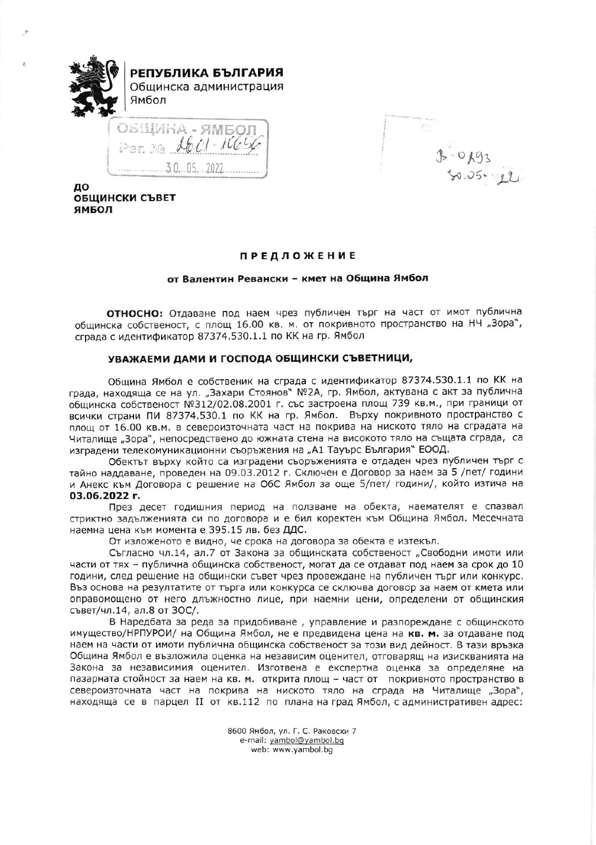

 $f^{\gamma-}$  $3.0193$ 

до **ОБЩИНСКИ СЪВЕТ** ямвол

# **ПРЕДЛОЖЕНИЕ**

# от Валентин Ревански - кмет на Община Ямбол

ОТНОСНО: Отдаване под наем чрез публичен търг на част от имот публична общинска собственост, с площ 16.00 кв. м. от покривното пространство на НЧ "Зора", сграда с идентификатор 87374.530.1.1 по КК на гр. Ямбол

# УВАЖАЕМИ ДАМИ И ГОСПОДА ОБЩИНСКИ СЪВЕТНИЦИ,

Община Ямбол е собственик на сграда с идентификатор 87374.530.1.1 по КК на града, находяща се на ул. "Захари Стоянов" №2А, гр. Ямбол, актувана с акт за публична общинска собственост №312/02.08.2001 г. със застроена площ 739 кв.м., при граници от всички страни ПИ 87374.530.1 по КК на гр. Ямбол. Върху покривното пространство с площ от 16.00 кв.м. в североизточната част на покрива на ниското тяло на сградата на Читалище "Зора", непосредствено до южната стена на високото тяло на същата сграда, са изградени телекомуникационни съоръжения на "А1 Тауърс България" ЕООД.

Обектът върху който са изградени съоръженията е отдаден чрез публичен търг с тайно наддаване, проведен на 09.03.2012 г. Сключен е Договор за наем за 5 /пет/ години и Анекс към Договора с решение на ОбС Ямбол за още 5/пет/ години/, който изтича на 03.06.2022 г.

През десет годишния период на ползване на обекта, наемателят е спазвал стриктно задълженията си по договора и е бил коректен към Община Ямбол. Месечната наемна цена към момента е 395.15 лв. без ДДС.

От изложеното е видно, че срока на договора за обекта е изтекъл.

Съгласно чл.14, ал.7 от Закона за общинската собственост "Свободни имоти или части от тях - публична общинска собственост, могат да се отдават под наем за срок до 10 години, след решение на общински съвет чрез провеждане на публичен търг или конкурс. Въз основа на резултатите от търга или конкурса се сключва договор за наем от кмета или оправомощено от него длъжностно лице, при наемни цени, определени от общинския съвет/чл.14, ал.8 от ЗОС/.

В Наредбата за реда за придобиване, управление и разпореждане с общинското имущество/НРПУРОИ/ на Община Ямбол, не е предвидена цена на кв. м. за отдаване под наем на части от имоти публична общинска собственост за този вид дейност. В тази връзка Община Ямбол е възложила оценка на независим оценител, отговарящ на изискванията на Закона за независимия оценител. Изготвена е експертна оценка за определяне на пазарната стойност за наем на кв. м. открита площ - част от покривното пространство в североизточната част на покрива на ниското тяло на сграда на Читалище "Зора", находяща се в парцел II от кв.112 по плана на град Ямбол, с административен адрес:

> 8600 Ямбол, ул. Г. С. Раковски 7 e-mail: yambol@yambol.bg web: www.yambol.bg